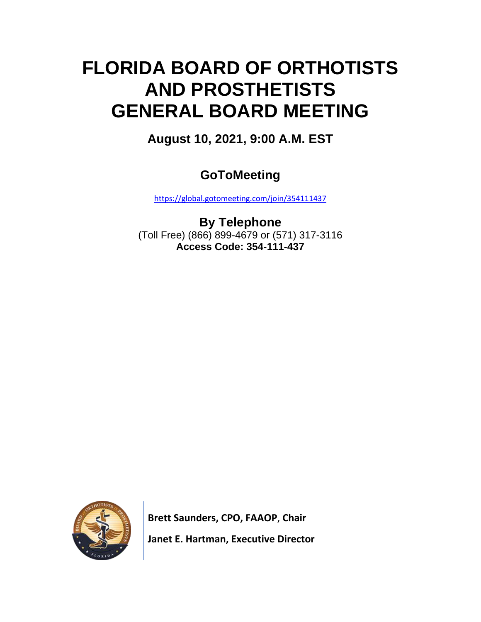# **FLORIDA BOARD OF ORTHOTISTS AND PROSTHETISTS GENERAL BOARD MEETING**

**August 10, 2021, 9:00 A.M. EST**

# **GoToMeeting**

<https://global.gotomeeting.com/join/354111437>

**By Telephone** (Toll Free) (866) 899-4679 or (571) 317-3116 **Access Code: 354-111-437**



 **Brett Saunders, CPO, FAAOP**, **Chair Janet E. Hartman, Executive Director**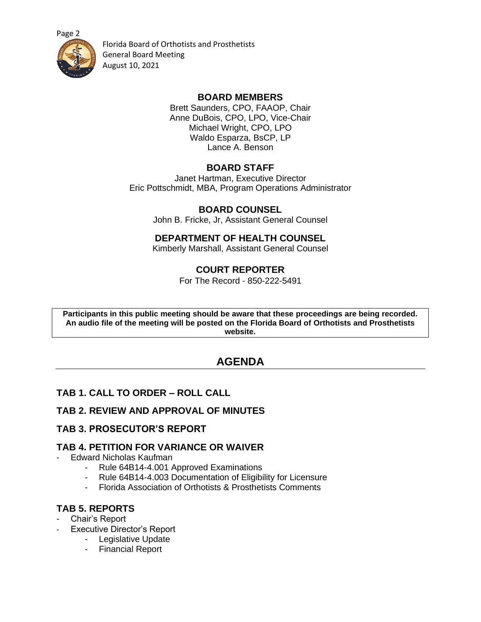[Page 2](https://floridasorthotistsprosthetists.gov/)



Florida Board of Orthotists and Prosthetists General Board Meeting August 10, 2021

#### **BOARD MEMBERS**

Brett Saunders, CPO, FAAOP, Chair Anne DuBois, CPO, LPO, Vice-Chair Michael Wright, CPO, LPO Waldo Esparza, BsCP, LP Lance A. Benson

#### **BOARD STAFF**

Janet Hartman, Executive Director Eric Pottschmidt, MBA, Program Operations Administrator

#### **BOARD COUNSEL**

John B. Fricke, Jr, Assistant General Counsel

# **DEPARTMENT OF HEALTH COUNSEL**

Kimberly Marshall, Assistant General Counsel

# **COURT REPORTER**

For The Record - 850-222-5491

**Participants in this public meeting should be aware that these proceedings are being recorded. An audio file of the meeting will be posted on the Florida Board of Orthotists and Prosthetists website.**

# **AGENDA**

# **TAB 1. CALL TO ORDER – ROLL CALL**

#### **TAB 2. REVIEW AND APPROVAL OF MINUTES**

#### **TAB 3. PROSECUTOR'S REPORT**

#### **TAB 4. PETITION FOR VARIANCE OR WAIVER**

- Edward Nicholas Kaufman
	- Rule 64B14-4.001 Approved Examinations
	- Rule 64B14-4.003 Documentation of Eligibility for Licensure
	- Florida Association of Orthotists & Prosthetists Comments

#### **TAB 5. REPORTS**

- Chair's Report
- Executive Director's Report
	- Legislative Update
	- Financial Report